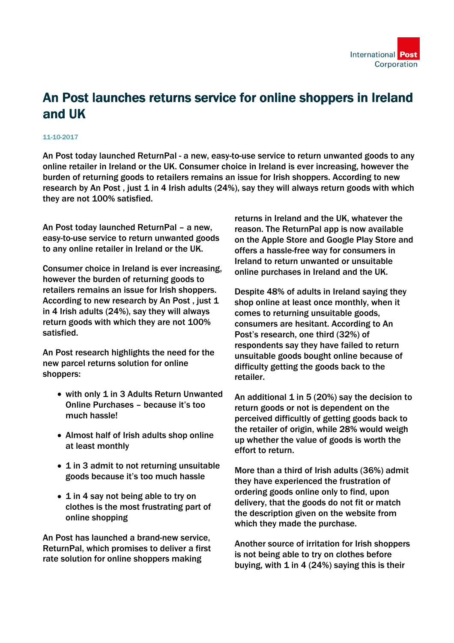

## An Post launches returns service for online shoppers in Ireland and UK

## 11-10-2017

An Post today launched ReturnPal - a new, easy-to-use service to return unwanted goods to any online retailer in Ireland or the UK. Consumer choice in Ireland is ever increasing, however the burden of returning goods to retailers remains an issue for Irish shoppers. According to new research by An Post, just  $1$  in 4 Irish adults (24%), say they will always return goods with which they are not 100% satisfied.

An Post today launched ReturnPal – a new, easy-to-use service to return unwanted goods to any online retailer in Ireland or the UK.

Consumer choice in Ireland is ever increasing, however the burden of returning goods to retailers remains an issue for Irish shoppers. According to new research by An Post, just 1 in 4 Irish adults (24%), say they will always return goods with which they are not 100% satisfied.

An Post research highlights the need for the new parcel returns solution for online shoppers:

- with only 1 in 3 Adults Return Unwanted Online Purchases – because it's too much hassle!
- Almost half of Irish adults shop online at least monthly
- 1 in 3 admit to not returning unsuitable goods because it's too much hassle
- 1 in 4 say not being able to try on clothes is the most frustrating part of online shopping

An Post has launched a brand-new service, ReturnPal, which promises to deliver a first rate solution for online shoppers making

returns in Ireland and the UK, whatever the reason. The ReturnPal app is now available on the Apple Store and Google Play Store and offers a hassle-free way for consumers in Ireland to return unwanted or unsuitable online purchases in Ireland and the UK.

Despite 48% of adults in Ireland saying they shop online at least once monthly, when it comes to returning unsuitable goods, consumers are hesitant. According to An Post's research, one third (32%) of respondents say they have failed to return unsuitable goods bought online because of difficulty getting the goods back to the retailer.

An additional  $1$  in 5 (20%) say the decision to return goods or not is dependent on the perceived difficultly of getting goods back to the retailer of origin, while 28% would weigh up whether the value of goods is worth the effort to return.

More than a third of Irish adults (36%) admit they have experienced the frustration of ordering goods online only to find, upon delivery, that the goods do not fit or match the description given on the website from which they made the purchase.

Another source of irritation for Irish shoppers is not being able to try on clothes before buying, with  $1$  in  $4$  (24%) saying this is their